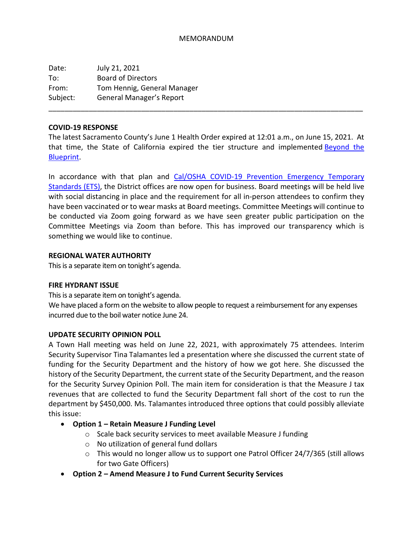### MEMORANDUM

Date: July 21, 2021 To: Board of Directors From: Tom Hennig, General Manager Subject: General Manager's Report

#### **COVID-19 RESPONSE**

The latest Sacramento County's June 1 Health Order expired at 12:01 a.m., on June 15, 2021. At that time, the State of California expired the tier structure and implemented **Beyond** the [Blueprint.](https://www.cdph.ca.gov/Programs/CID/DCDC/Pages/COVID-19/Beyond-Blueprint-Framework.aspx)

\_\_\_\_\_\_\_\_\_\_\_\_\_\_\_\_\_\_\_\_\_\_\_\_\_\_\_\_\_\_\_\_\_\_\_\_\_\_\_\_\_\_\_\_\_\_\_\_\_\_\_\_\_\_\_\_\_\_\_\_\_\_\_\_\_\_\_\_\_\_\_\_\_\_\_\_\_\_

In accordance with that plan and [Cal/OSHA COVID-19 Prevention Emergency Temporary](https://www.dir.ca.gov/dosh/coronavirus/ETS.html)  [Standards \(ETS\),](https://www.dir.ca.gov/dosh/coronavirus/ETS.html) the District offices are now open for business. Board meetings will be held live with social distancing in place and the requirement for all in-person attendees to confirm they have been vaccinated or to wear masks at Board meetings. Committee Meetings will continue to be conducted via Zoom going forward as we have seen greater public participation on the Committee Meetings via Zoom than before. This has improved our transparency which is something we would like to continue.

### **REGIONAL WATER AUTHORITY**

This is a separate item on tonight's agenda.

### **FIRE HYDRANT ISSUE**

This is a separate item on tonight's agenda.

We have placed a form on the website to allow people to request a reimbursement for any expenses incurred due to the boil water notice June 24.

### **UPDATE SECURITY OPINION POLL**

A Town Hall meeting was held on June 22, 2021, with approximately 75 attendees. Interim Security Supervisor Tina Talamantes led a presentation where she discussed the current state of funding for the Security Department and the history of how we got here. She discussed the history of the Security Department, the current state of the Security Department, and the reason for the Security Survey Opinion Poll. The main item for consideration is that the Measure J tax revenues that are collected to fund the Security Department fall short of the cost to run the department by \$450,000. Ms. Talamantes introduced three options that could possibly alleviate this issue:

- **Option 1 – Retain Measure J Funding Level**
	- o Scale back security services to meet available Measure J funding
	- o No utilization of general fund dollars
	- o This would no longer allow us to support one Patrol Officer 24/7/365 (still allows for two Gate Officers)
- **Option 2 – Amend Measure J to Fund Current Security Services**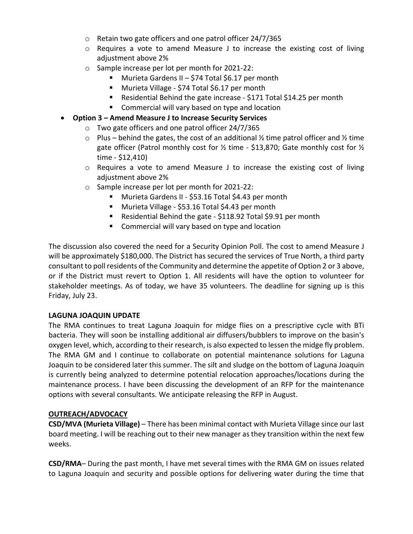- o Retain two gate officers and one patrol officer 24/7/365
- $\circ$  Requires a vote to amend Measure J to increase the existing cost of living adjustment above 2%
- o Sample increase per lot per month for 2021-22:
	- Murieta Gardens II \$74 Total \$6.17 per month
	- **Murieta Village \$74 Total \$6.17 per month**
	- Residential Behind the gate increase \$171 Total \$14.25 per month
	- **E** Commercial will vary based on type and location
- **Option 3 – Amend Measure J to Increase Security Services**
	- o Two gate officers and one patrol officer 24/7/365
	- $\circ$  Plus behind the gates, the cost of an additional % time patrol officer and % time gate officer (Patrol monthly cost for  $\frac{1}{2}$  time - \$13,870; Gate monthly cost for  $\frac{1}{2}$ time - \$12,410)
	- $\circ$  Requires a vote to amend Measure J to increase the existing cost of living adjustment above 2%
	- o Sample increase per lot per month for 2021-22:
		- Murieta Gardens II \$53.16 Total \$4.43 per month
		- Murieta Village \$53.16 Total \$4.43 per month
		- Residential Behind the gate \$118.92 Total \$9.91 per month
		- **E** Commercial will vary based on type and location

The discussion also covered the need for a Security Opinion Poll. The cost to amend Measure J will be approximately \$180,000. The District has secured the services of True North, a third party consultant to poll residents of the Community and determine the appetite of Option 2 or 3 above, or if the District must revert to Option 1. All residents will have the option to volunteer for stakeholder meetings. As of today, we have 35 volunteers. The deadline for signing up is this Friday, July 23.

# **LAGUNA JOAQUIN UPDATE**

The RMA continues to treat Laguna Joaquin for midge flies on a prescriptive cycle with BTi bacteria. They will soon be installing additional air diffusers/bubblers to improve on the basin's oxygen level, which, according to their research, is also expected to lessen the midge fly problem. The RMA GM and I continue to collaborate on potential maintenance solutions for Laguna Joaquin to be considered later this summer. The silt and sludge on the bottom of Laguna Joaquin is currently being analyzed to determine potential relocation approaches/locations during the maintenance process. I have been discussing the development of an RFP for the maintenance options with several consultants. We anticipate releasing the RFP in August.

# **OUTREACH/ADVOCACY**

**CSD/MVA (Murieta Village)** – There has been minimal contact with Murieta Village since our last board meeting. I will be reaching out to their new manager as they transition within the next few weeks.

**CSD/RMA**– During the past month, I have met several times with the RMA GM on issues related to Laguna Joaquin and security and possible options for delivering water during the time that